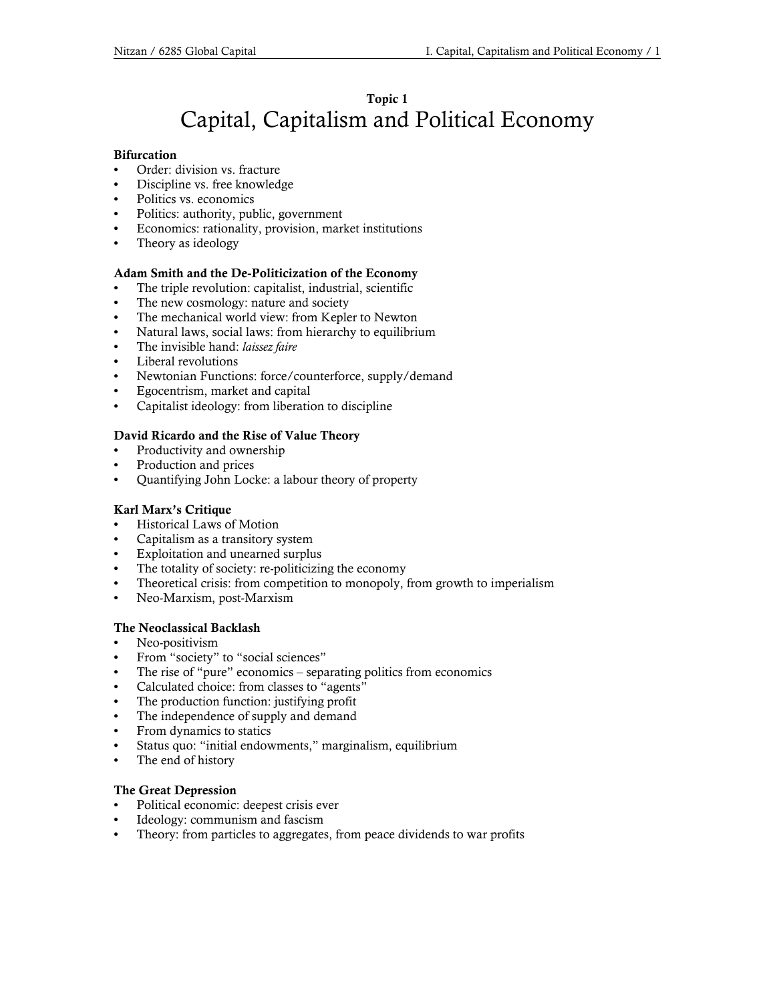# Topic 1 Capital, Capitalism and Political Economy

## Bifurcation

- Order: division vs. fracture
- Discipline vs. free knowledge
- Politics vs. economics
- Politics: authority, public, government
- Economics: rationality, provision, market institutions
- Theory as ideology

# Adam Smith and the De-Politicization of the Economy

- The triple revolution: capitalist, industrial, scientific
- The new cosmology: nature and society
- The mechanical world view: from Kepler to Newton
- Natural laws, social laws: from hierarchy to equilibrium
- The invisible hand: laissez faire
- Liberal revolutions
- Newtonian Functions: force/counterforce, supply/demand
- Egocentrism, market and capital
- Capitalist ideology: from liberation to discipline

# David Ricardo and the Rise of Value Theory

- Productivity and ownership
- Production and prices
- Quantifying John Locke: a labour theory of property

# Karl Marx's Critique

- Historical Laws of Motion
- Capitalism as a transitory system
- Exploitation and unearned surplus
- The totality of society: re-politicizing the economy
- Theoretical crisis: from competition to monopoly, from growth to imperialism
- Neo-Marxism, post-Marxism

# The Neoclassical Backlash

- Neo-positivism
- From "society" to "social sciences"
- The rise of "pure" economics separating politics from economics
- Calculated choice: from classes to "agents"
- The production function: justifying profit
- The independence of supply and demand
- From dynamics to statics
- Status quo: "initial endowments," marginalism, equilibrium
- The end of history

# The Great Depression

- Political economic: deepest crisis ever
- Ideology: communism and fascism
- Theory: from particles to aggregates, from peace dividends to war profits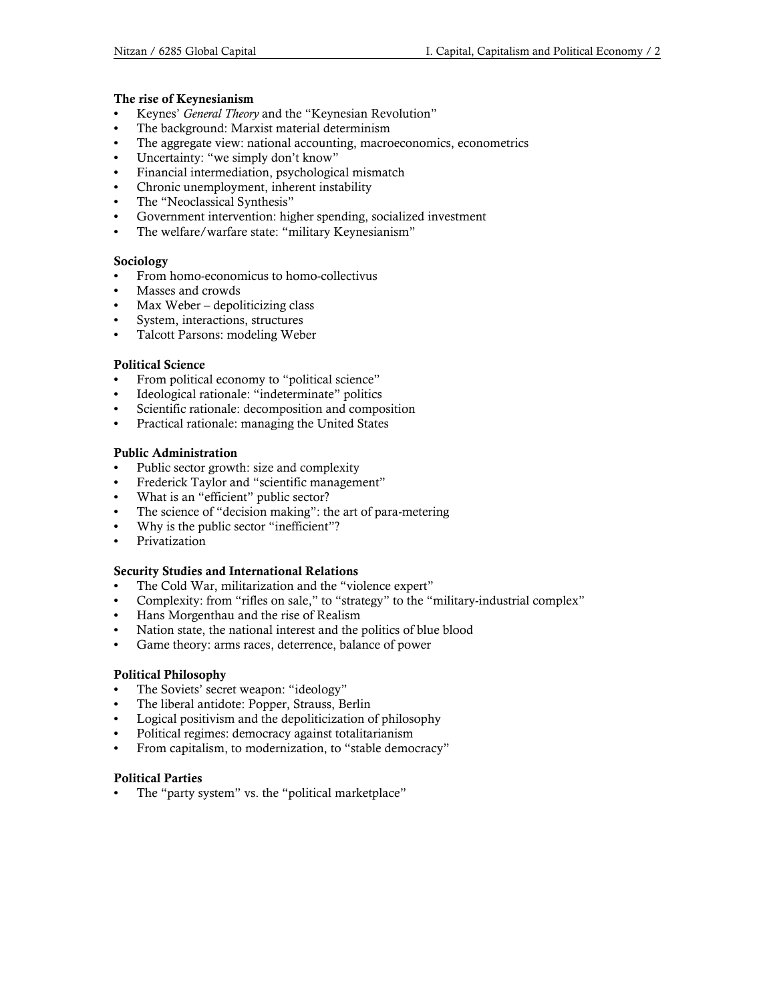## The rise of Keynesianism

- Keynes' General Theory and the "Keynesian Revolution"
- The background: Marxist material determinism
- The aggregate view: national accounting, macroeconomics, econometrics
- Uncertainty: "we simply don't know"
- Financial intermediation, psychological mismatch
- Chronic unemployment, inherent instability
- The "Neoclassical Synthesis"
- Government intervention: higher spending, socialized investment
- The welfare/warfare state: "military Keynesianism"

## Sociology

- From homo-economicus to homo-collectivus
- Masses and crowds
- Max Weber depoliticizing class
- System, interactions, structures
- Talcott Parsons: modeling Weber

## Political Science

- From political economy to "political science"
- Ideological rationale: "indeterminate" politics
- Scientific rationale: decomposition and composition
- Practical rationale: managing the United States

## Public Administration

- Public sector growth: size and complexity
- Frederick Taylor and "scientific management"
- What is an "efficient" public sector?
- The science of "decision making": the art of para-metering
- Why is the public sector "inefficient"?
- Privatization

#### Security Studies and International Relations

- The Cold War, militarization and the "violence expert"
- Complexity: from "rifles on sale," to "strategy" to the "military-industrial complex"
- Hans Morgenthau and the rise of Realism
- Nation state, the national interest and the politics of blue blood
- Game theory: arms races, deterrence, balance of power

#### Political Philosophy

- The Soviets' secret weapon: "ideology"
- The liberal antidote: Popper, Strauss, Berlin
- Logical positivism and the depoliticization of philosophy
- Political regimes: democracy against totalitarianism
- From capitalism, to modernization, to "stable democracy"

#### Political Parties

The "party system" vs. the "political marketplace"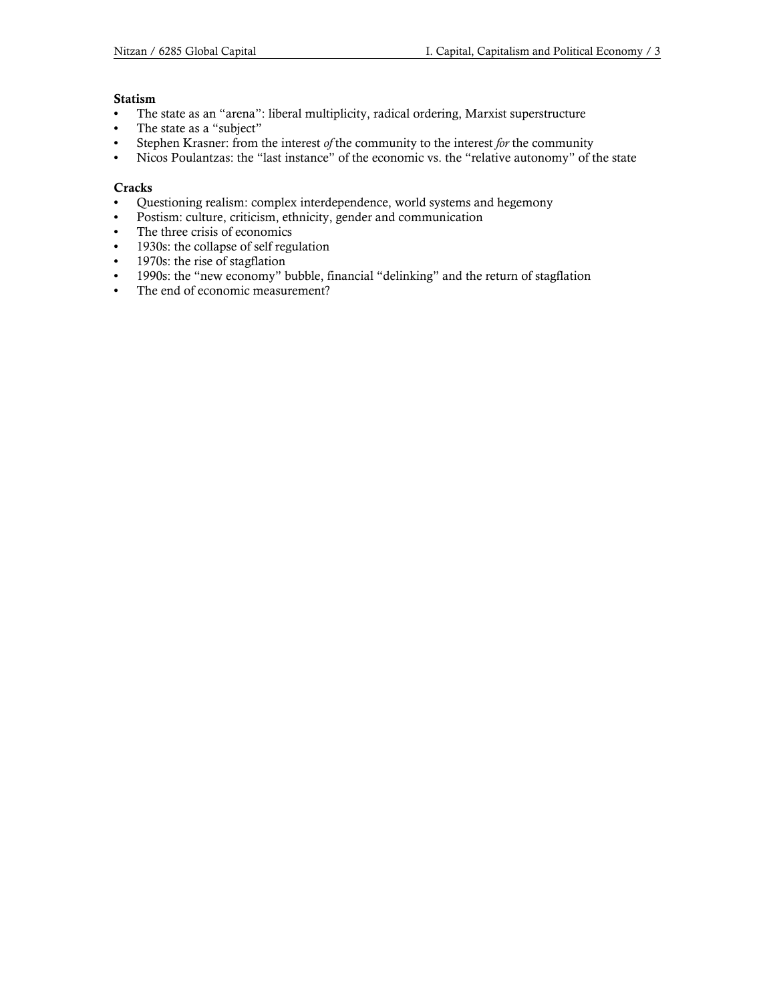## Statism

- The state as an "arena": liberal multiplicity, radical ordering, Marxist superstructure
- The state as a "subject"
- Stephen Krasner: from the interest of the community to the interest for the community
- Nicos Poulantzas: the "last instance" of the economic vs. the "relative autonomy" of the state

## **Cracks**

- Questioning realism: complex interdependence, world systems and hegemony
- Postism: culture, criticism, ethnicity, gender and communication
- The three crisis of economics
- 1930s: the collapse of self regulation
- 1970s: the rise of stagflation
- 1990s: the "new economy" bubble, financial "delinking" and the return of stagflation
- The end of economic measurement?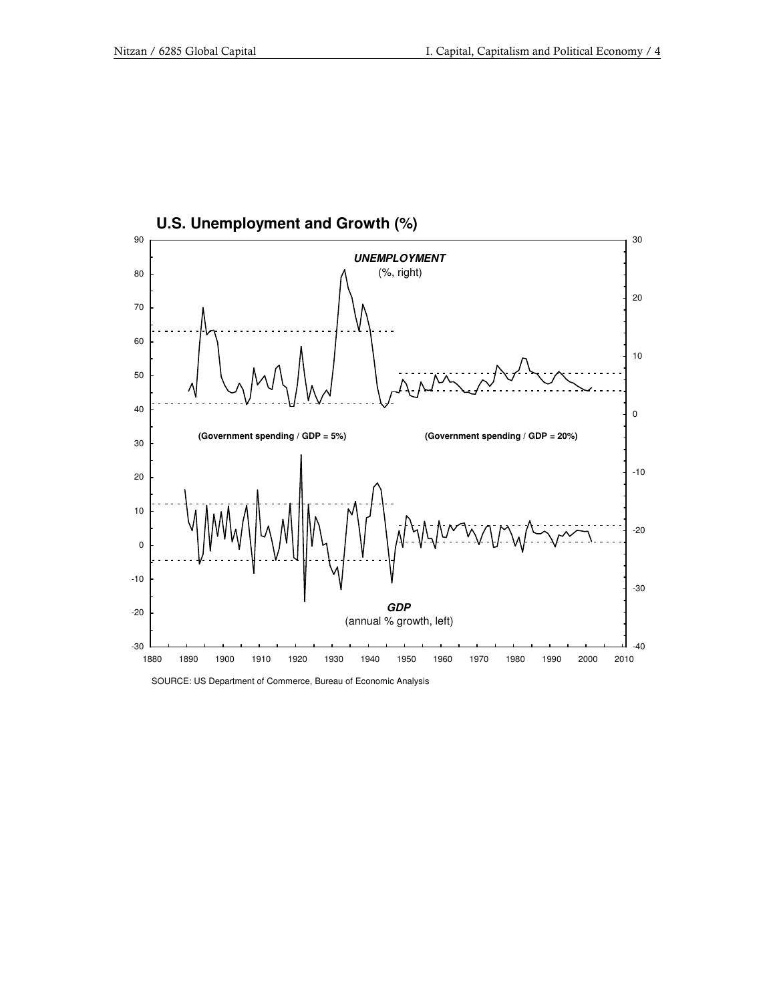

SOURCE: US Department of Commerce, Bureau of Economic Analysis